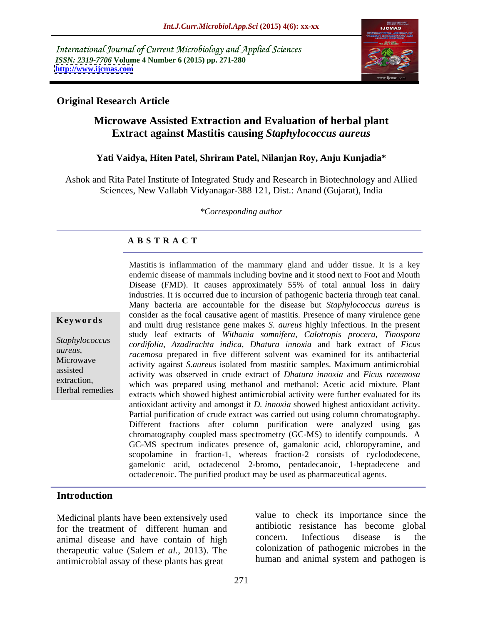International Journal of Current Microbiology and Applied Sciences *ISSN: 2319-7706* **Volume 4 Number 6 (2015) pp. 271-280 <http://www.ijcmas.com>**



# **Original Research Article**

# **Microwave Assisted Extraction and Evaluation of herbal plant Extract against Mastitis causing** *Staphylococcus aureus*

### **Yati Vaidya, Hiten Patel, Shriram Patel, Nilanjan Roy, Anju Kunjadia\***

Ashok and Rita Patel Institute of Integrated Study and Research in Biotechnology and Allied Sciences, New Vallabh Vidyanagar-388 121, Dist.: Anand (Gujarat), India

*\*Corresponding author*

# **A B S T R A C T**

Herbal remedies

Mastitis is inflammation of the mammary gland and udder tissue. It is a key endemic disease of mammals including bovine and it stood next to Foot and Mouth Disease (FMD). It causes approximately 55% of total annual loss in dairy industries. It is occurred due to incursion of pathogenic bacteria through teat canal. Many bacteria are accountable for the disease but *Staphylococcus aureus* is consider as the focal causative agent of mastitis. Presence of many virulence gene and multi drug resistance gene makes *S. aureus* highly infectious. In the present **Ke ywo rds** study leaf extracts of *Withania somnifera, Calotropis procera, Tinospora cordifolia, Azadirachta indica, Dhatura innoxia* and bark extract of *Ficus Staphylococcus racemosa* prepared in five different solvent was examined for its antibacterial *aureus,* Microwave activity against *S.aureus* isolated from mastitic samples. Maximum antimicrobial activity was observed in crude extract of *Dhatura innoxia* and *Ficus racemosa* extraction,<br>Which was prepared using methanol and methanol: Acetic acid mixture. Plant extracts which showed highest antimicrobial activity were further evaluated for its antioxidant activity and amongst it *D. innoxia* showed highest antioxidant activity. Partial purification of crude extract was carried out using column chromatography. Different fractions after column purification were analyzed using gas chromatography coupled mass spectrometry (GC-MS) to identify compounds. A GC-MS spectrum indicates presence of, gamalonic acid, chloropyramine, and scopolamine in fraction-1, whereas fraction-2 consists of cyclododecene, gamelonic acid, octadecenol 2-bromo, pentadecanoic, 1-heptadecene and octadecenoic. The purified product may be used as pharmaceutical agents.

# **Introduction**

Medicinal plants have been extensively used for the treatment of different human and<br>only antibotic resistance has become global<br>onimal disease and have contain of high concern. Infectious disease is the animal disease and have contain of high therapeutic value (Salem *et al.*, 2013). The antimicrobial assay of these plants has great

value to check its importance since the antibiotic resistance has become global concern. Infectious disease is the colonization of pathogenic microbes in the human and animal system and pathogen is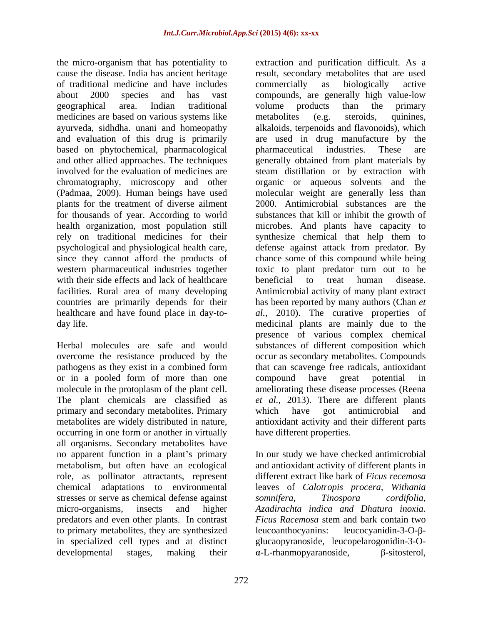the micro-organism that has potentiality to of traditional medicine and have includes medicines are based on various systems like metabolites (e.g. steroids, quinines, based on phytochemical, pharmacological plants for the treatment of diverse ailment with their side effects and lack of healthcare beneficial to treat human disease.

or in a pooled form of more than one compound have great potential in primary and secondary metabolites. Primary which have got antimicrobial and occurring in one form or another in virtually all organisms. Secondary metabolites have no apparent function in a plant's primary ln our study we have checked antimicrobial metabolism, but often have an ecological and antioxidant activity of different plants in role, as pollinator attractants, represent different extract like bark of *Ficus recemosa* chemical adaptations to environmental leaves of *Calotropis procera, Withania* stresses or serve as chemical defense against somnifera, Tinospora cordifolia, micro-organisms, insects and higher *Azadirachta indica and Dhatura inoxia*. predators and even other plants. In contrast to primary metabolites, they are synthesized in specialized cell types and at distinct glucaopyranoside, leucopelarogonidin-3-O-

cause the disease. India has ancient heritage result, secondary metabolites that are used about 2000 species and has vast compounds, are generally high value-low geographical area. Indian traditional ayurveda, sidhdha. unani and homeopathy alkaloids, terpenoids and flavonoids), which and evaluation of this drug is primarily are used in drug manufacture by the and other allied approaches. The techniques generally obtained from plant materials by involved for the evaluation of medicines are steam distillation or by extraction with chromatography, microscopy and other organic or aqueous solvents and the (Padmaa, 2009). Human beings have used molecular weight are generally less than for thousands of year. According to world substances that kill or inhibit the growth of health organization, most population still microbes. And plants have capacity to rely on traditional medicines for their synthesize chemical that help them to psychological and physiological health care, defense against attack from predator. By since they cannot afford the products of chance some of this compound while being western pharmaceutical industries together toxic to plant predator turn out to be facilities. Rural area of many developing Antimicrobial activity of many plant extract countries are primarily depends for their has been reported by many authors (Chan *et*  healthcare and have found place in day-to- *al.,* 2010). The curative properties of day life. medicinal plants are mainly due to the Herbal molecules are safe and would substances of different composition which overcome the resistance produced by the occur as secondary metabolites. Compounds pathogens as they exist in a combined form that can scavenge free radicals, antioxidant molecule in the protoplasm of the plant cell. ameliorating these disease processes (Reena The plant chemicals are classified as *et al.,* 2013). There are different plants metabolites are widely distributed in nature, antioxidant activity and their different parts extraction and purification difficult. As a commercially as biologically active volume products than the primary metabolites (e.g. steroids, quinines, pharmaceutical industries. These are 2000. Antimicrobial substances are the beneficial to treat human disease. presence of various complex chemical compound have great potential in which have got antimicrobial and have different properties.

developmental stages, making their  $\alpha$ -L-rhanmopyaranoside,  $\beta$ -sitosterol, *somnifera, Tinospora cordifolia, Ficus Racemosa* stem and bark contain two leucocyanidin-3-O- $\beta$ - $\alpha$ -L-rhanmopyaranoside,  $\beta$ -sitosterol,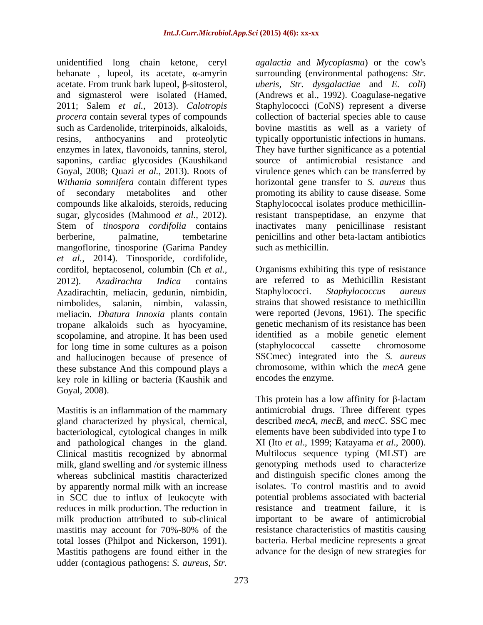unidentified long chain ketone, ceryl behanate, lupeol, its acetate,  $\alpha$ -amyrin surrounding (environmental pathogens: *Str.* acetate. From trunk bark lupeol,  $\beta$ -sitosterol, and sigmasterol were isolated (Hamed, (Andrews et al., 1992). Coagulase-negative 2011; Salem *et al.*, 2013). *Calotropis*  Staphylococci (CoNS) represent a diverse *procera* contain several types of compounds such as Cardenolide, triterpinoids, alkaloids, bovine mastitis as well as a variety of resins, anthocyanins and proteolytic typically opportunistic infections in humans. enzymes in latex, flavonoids, tannins, sterol, They have further significance as a potential saponins, cardiac glycosides (Kaushikand Goyal, 2008; Quazi *et al.,* 2013). Roots of *Withania somnifera* contain different types horizontal gene transfer to *S. aureus* thus of secondary metabolites and other promoting its ability to cause disease. Some compounds like alkaloids, steroids, reducing Staphylococcal isolates produce methicillinsugar, glycosides (Mahmood *et al.,* 2012). Stem of *tinospora cordifolia* contains inactivates many penicillinase resistant berberine, palmatine, tembetarine penicillins and other beta-lactam antibiotics mangoflorine, tinosporine (Garima Pandey *et al.,* 2014). Tinosporide, cordifolide, cordifol, heptacosenol, columbin (Ch *et al.,* Organisms exhibiting this type of resistance 2012). *Azadirachta Indica* contains are referred to as Methicillin Resistant Azadirachtin, meliacin, gedunin, nimbidin, Staphylococci. Staphylococcus aureus nimbolides, salanin, nimbin, valassin, strains that showed resistance to methicillin meliacin. *Dhatura Innoxia* plants contain tropane alkaloids such as hyocyamine, scopolamine, and atropine. It has been used<br>for long time in some cultures as a poison (staphylococcal cassette chromosome for long time in some cultures as a poison and hallucinogen because of presence of these substance And this compound plays a chromosome, within which the *mecA* gene key role in killing or bacteria (Kaushik and Goyal, 2008).

Mastitis is an inflammation of the mammary gland characterized by physical, chemical, bacteriological, cytological changes in milk and pathological changes in the gland. XI (Ito *et al*., 1999; Katayama *et al*., 2000). Clinical mastitis recognized by abnormal milk, gland swelling and /or systemic illness whereas subclinical mastitis characterized by apparently normal milk with an increase isolates. To control mastitis and to avoid in SCC due to influx of leukocyte with potential problems associated with bacterial reduces in milk production. The reduction in resistance and treatment failure, it is milk production attributed to sub-clinical mastitis may account for 70%-80% of the resistance characteristics of mastitis causing total losses (Philpot and Nickerson, 1991). bacteria. Herbal medicine represents a great Mastitis pathogens are found either in the advance for the design of new strategies forudder (contagious pathogens: *S. aureus*, *Str.* 

*agalactia* and *Mycoplasma*) or the cow's *uberis, Str. dysgalactiae* and *E. coli*) collection of bacterial species able to cause source of antimicrobial resistance and virulence genes which can be transferred by resistant transpeptidase, an enzyme that such as methicillin.

Staphylococci. *Staphylococcus aureus* were reported (Jevons, 1961). The specific genetic mechanism of its resistance has been identified as a mobile genetic element (staphylococcal cassette chromosome SSCmec) integrated into the *S. aureus* encodes the enzyme.

This protein has a low affinity for  $\beta$ -lactam antimicrobial drugs. Three different types described *mecA, mecB*, and *mecC*. SSC mec elements have been subdivided into type I to Multilocus sequence typing (MLST) are genotyping methods used to characterize and distinguish specific clones among the important to be aware of antimicrobial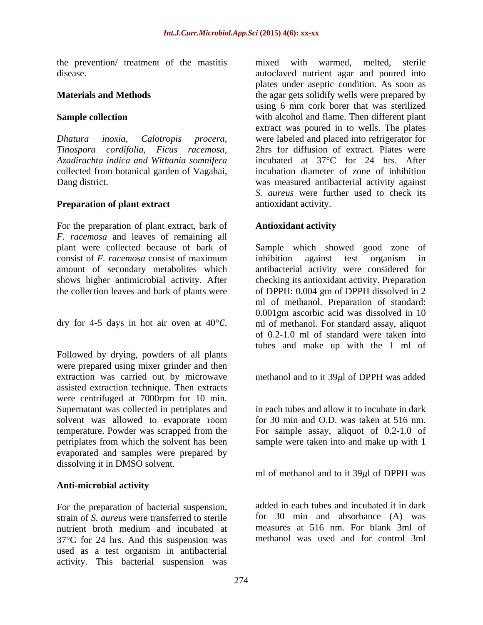the prevention/ treatment of the mastitis

*Azadirachta indica and Withania somnifera* collected from botanical garden of Vagahai,

### **Preparation of plant extract**

For the preparation of plant extract, bark of *F. racemosa* and leaves of remaining all

were prepared using mixer grinder and then extraction was carried out by microwave methanol and to it  $39\mu$  of DPPH was added assisted extraction technique. Then extracts were centrifuged at 7000rpm for 10 min. Supernatant was collected in petriplates and solvent was allowed to evaporate room<br>temperature. Powder was scrapped from the temperature. Powder was scrapped from the For sample assay, aliquot of 0.2-1.0 of petriplates from which the solvent has been sample were taken into and make up with 1 evaporated and samples were prepared by dissolving it in DMSO solvent.

### **Anti-microbial activity**

For the preparation of bacterial suspension, strain of *S. aureus* were transferred to sterile nutrient broth medium and incubated at 37°C for 24 hrs. And this suspension was used as a test organism in antibacterial activity. This bacterial suspension was

disease. autoclaved nutrient agar and poured into **Materials and Methods** the agar gets solidify wells were prepared by **Sample collection** *Dhatura inoxia, Calotropis procera,* were labeled and placed into refrigerator for *Tinospora cordifolia, Ficus racemosa,* 2hrs for diffusion of extract. Plates were Dang district. was measured antibacterial activity against mixed with warmed, melted, sterile plates under aseptic condition. As soon as using 6 mm cork borer that was sterilized extract was poured in to wells. The plates incubated at 37°C for 24 hrs. After incubation diameter of zone of inhibition *S. aureus* were further used to check its antioxidant activity.

# **Antioxidant activity**

plant were collected because of bark of Sample which showed good zone of consist of *F. racemosa* consist of maximum amount of secondary metabolites which antibacterial activity were considered for shows higher antimicrobial activity. After checking its antioxidant activity. Preparation the collection leaves and bark of plants were of DPPH: 0.004 gm of DPPH dissolved in 2 dry for 4-5 days in hot air oven at  $40^{\circ}C$ . In of methanol. For standard assay, aliquot of 0.2-1.0 ml of standard were taken into tubes and make up with the 1 ml of Followed by drying, powders of all plants inhibition against test organism in ml of methanol. Preparation of standard: 0.001gm ascorbic acid was dissolved in 10 ml of methanol. For standard assay, aliquot of 0.2-1.0 ml of standard were taken into tubes and make up with the 1 ml of

in each tubes and allow it to incubate in dark for 30 min and O.D. was taken at 516 nm.

ml of methanol and to it  $39\mu$  of DPPH was

added in each tubes and incubated it in dark for 30 min and absorbance (A) was measures at 516 nm. For blank 3ml of methanol was used and for control 3ml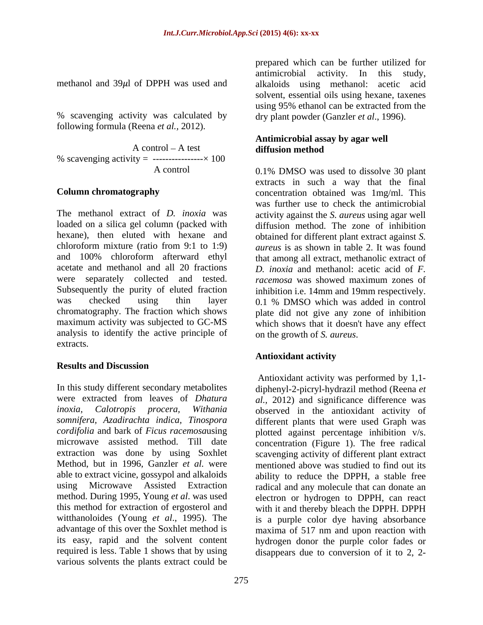% scavenging activity was calculated by following formula (Reena *et al.,* 2012).

A control – A test diffusion method % scavenging activity =  $------ \times 100$ 

The methanol extract of *D. inoxia* was activity against the *S. aureus* using agar well loaded on a silica gel column (packed with diffusion method. The zone of inhibition hexane), then eluted with hexane and obtained for different plant extract against *S.*  chloroform mixture (ratio from 9:1 to 1:9) *aureus* is as shown in table 2. It was found and 100% chloroform afterward ethyl acetate and methanol and all 20 fractions *D. inoxia* and methanol: acetic acid of *F.*  were separately collected and tested. *racemosa* was showed maximum zones of Subsequently the purity of eluted fraction inhibition i.e. 14mm and 19mm respectively. was checked using thin layer 0.1 % DMSO which was added in control chromatography. The fraction which shows plate did not give any zone of inhibition maximum activity was subjected to GC-MS which shows that it doesn't have any effect analysis to identify the active principle of extracts.

## **Results and Discussion**

In this study different secondary metabolites diphenyl-2-picryl-hydrazil method (Reena *et*  were extracted from leaves of *Dhatura al.,* 2012) and significance difference was *inoxia, Calotropis procera, Withania* observed in the antioxidant activity of *somnifera, Azadirachta indica, Tinospora* different plants that were used Graph was *cordifolia* and bark of *Ficus racemosa*using plotted against percentage inhibition v/s. microwave assisted method. Till date concentration (Figure 1). The free radical extraction was done by using Soxhlet scavenging activity of different plant extract Method, but in 1996, Ganzler *et al.* were able to extract vicine, gossypol and alkaloids ability to reduce the DPPH, a stable free using Microwave Assisted Extraction radical and any molecule that can donate an method. During 1995, Young *et al*. was used electron or hydrogen to DPPH, can react this method for extraction of ergosterol and with it and thereby bleach the DPPH. DPPH witthanoloides (Young *et al*., 1995). The is a purple color dye having absorbance advantage of this over the Soxhlet method is maxima of 517 nm and upon reaction with its easy, rapid and the solvent content hydrogen donor the purple color fades or required is less. Table 1 shows that by using disappears due to conversion of it to 2, 2various solvents the plants extract could be

methanol and  $39\mu$ l of DPPH was used and alkaloids using methanol: acetic acid prepared which can be further utilized for antimicrobial activity. In this study, solvent, essential oils using hexane, taxenes using 95% ethanol can be extracted from the dry plant powder (Ganzler *et al*., 1996).

### **Antimicrobial assay by agar well diffusion method**

 A control 0.1% DMSO was used to dissolve 30 plant **Column chromatography concentration** obtained was 1mg/ml. This extracts in such a way that the final was further use to check the antimicrobial that among all extract, methanolic extract of *racemosa* was showed maximum zones of 0.1 % DMSO which was added in control on the growth of *S. aureus*.

### **Antioxidant activity**

Antioxidant activity was performed by 1,1 mentioned above was studied to find out its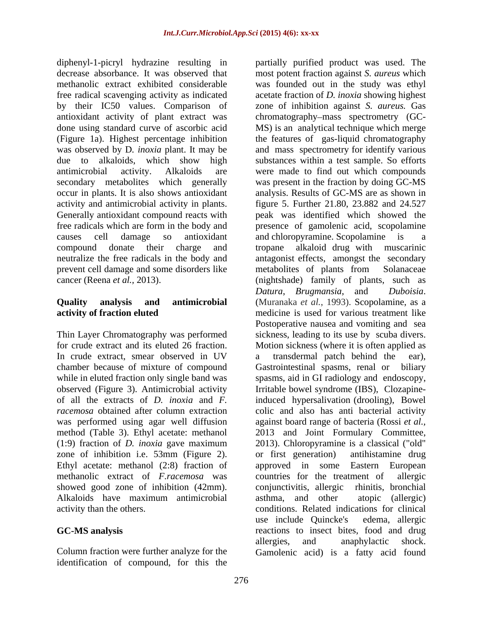diphenyl-1-picryl hydrazine resulting in partially purified product was used. The by their IC50 values. Comparison of Generally antioxidant compound reacts with prevent cell damage and some disorders like

Thin Layer Chromatography was performed chamber because of mixture of compound Gastrointestinal spasms, renal or biliary was performed using agar well diffusion method (Table 3). Ethyl acetate: methanol 2013 and Joint Formulary Committee, (1:9) fraction of *D. inoxia* gave maximum zone of inhibition i.e. 53mm (Figure 2). or first generation) antihistamine drug methanolic extract of *F.racemosa* was showed good zone of inhibition (42mm). conjunctivitis, allergic rhinitis, bronchial

Column fraction were further analyze for the Gamolenic acid) is a fatty acid foundidentification of compound, for this the

decrease absorbance. It was observed that most potent fraction against *S. aureus* which methanolic extract exhibited considerable was founded out in the study was ethyl free radical scavenging activity as indicated acetate fraction of *D. inoxia* showing highest antioxidant activity of plant extract was chromatography mass spectrometry (GC done using standard curve of ascorbic acid MS) is an analytical technique which merge (Figure 1a). Highest percentage inhibition the features of gas-liquid chromatography was observed by D*. inoxia* plant. It may be and mass spectrometry for identify various due to alkaloids, which show high substances within a test sample. So efforts antimicrobial activity. Alkaloids are were made to find out which compounds secondary metabolites which generally was present in the fraction by doing GC-MS occur in plants. It is also shows antioxidant analysis. Results of GC-MS are as shown in activity and antimicrobial activity in plants. figure 5. Further 21.80, 23.882 and 24.527 free radicals which are form in the body and presence of gamolenic acid, scopolamine causes cell damage so antioxidant and chloropyramine. Scopolamine is a compound donate their charge and neutralize the free radicals in the body and antagonist effects, amongst the secondary cancer (Reena *et al.,* 2013). (nightshade) family of plants, such as **Quality analysis and antimicrobial**  (Muranaka *et al.*, 1993). Scopolamine, as a **activity of fraction eluted** medicine is used for various treatment like for crude extract and its eluted 26 fraction. Motion sickness (where it is often applied as In crude extract, smear observed in UV a transdermal patch behind the ear), while in eluted fraction only single band was spasms, aid in GI radiology and endoscopy, observed (Figure 3). Antimicrobial activity Irritable bowel syndrome (IBS), Clozapineof all the extracts of *D. inoxia* and *F.*  induced hypersalivation (drooling), Bowel *racemosa* obtained after column extraction colic and also has anti bacterial activity Ethyl acetate: methanol (2:8) fraction of approved in some Eastern European Alkaloids have maximum antimicrobial activity than the others. conditions. Related indications for clinical **GC-MS analysis**  reactions to insect bites, food and drug zone of inhibition against *S. aureus.* Gas peak was identified which showed the tropane alkaloid drug with muscarinic metabolites of plants from Solanaceae *Datura*, *Brugmansia*, and *Duboisia*. Postoperative nausea and vomiting and sea sickness, leading to its use by scuba divers. a transdermal patch behind the ear), Gastrointestinal spasms, renal or against board range of bacteria (Rossi *et al.,* <sup>2013</sup> and Joint Formulary Committee, 2013). Chloropyramine is <sup>a</sup> classical ("old" or first generation) antihistamine drug countries for the treatment of conjunctivitis, allergic asthma, and other atopic (allergic) use include Quincke's edema, allergic allergies, and anaphylactic shock.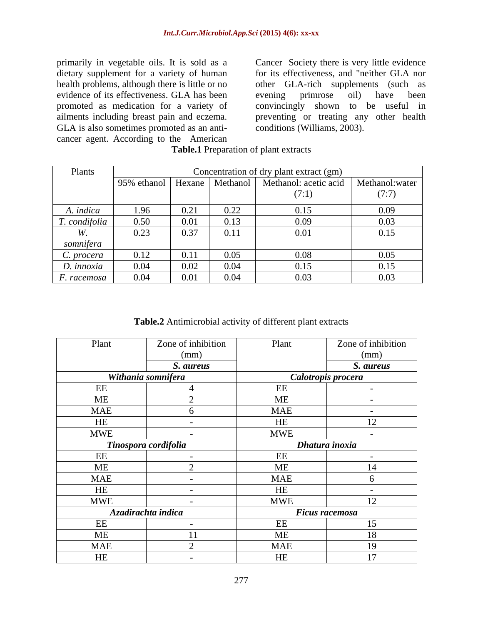primarily in vegetable oils. It is sold as a Cancer Society there is very little evidence dietary supplement for a variety of human for its effectiveness, and "neither GLA nor health problems, although there is little or no other GLA-rich supplements (such as evidence of its effectiveness. GLA has been evening primrose oil) have been promoted as medication for a variety of ailments including breast pain and eczema. preventing or treating any other health GLA is also sometimes promoted as an anti cancer agent. According to the American

evening primrose oil) have been convincingly shown to be useful in conditions (Williams, 2003).

| Plants        | Concentration of dry plant extract (gm) |      |          |                       |                 |
|---------------|-----------------------------------------|------|----------|-----------------------|-----------------|
|               | 95% ethanol   Hexane                    |      | Methanol | Methanol: acetic acid | Methanol: water |
|               |                                         |      |          | (7:1)                 | (7:7)           |
| A. indica     | 1.96                                    | 0.21 | 0.22     | 0.15                  | 0.09            |
| T. condifolia | 0.50                                    | 0.01 | 0.13     | 0.09                  | 0.03            |
|               | 0.23                                    | 0.37 | 0.11     | 0.01                  | 0.15            |
| somnifera     |                                         |      |          |                       |                 |
| C. procera    | 0.12                                    | 0.11 | 0.05     | 0.08                  | 0.05            |
| D. innoxia    | 0.04                                    | 0.02 | 0.04     | 0.15                  | 0.15            |
| F. racemosa   | 0.04                                    | 0.01 | 0.04     | 0.03                  | 0.03            |

**Table.1** Preparation of plant extracts

**Table.2** Antimicrobial activity of different plant extracts

| Plant                | Zone of inhibition       | Plant              | Zone of inhibition    |
|----------------------|--------------------------|--------------------|-----------------------|
|                      | (mm)                     |                    | (mm)                  |
|                      | S. aureus                |                    | S. aureus             |
| Withania somnifera   |                          | Calotropis procera |                       |
| EE                   |                          | EE                 |                       |
| ME                   |                          | ME                 | $\sim$                |
| <b>MAE</b>           |                          | <b>MAE</b>         |                       |
| HE                   | $\sim$                   | HE                 | 12                    |
| <b>MWE</b>           | $\overline{\phantom{0}}$ | <b>MWE</b>         | $\sim$                |
| Tinospora cordifolia |                          | Dhatura inoxia     |                       |
| EE                   | $\overline{\phantom{0}}$ | EE                 | $\sim$                |
| ME                   |                          | ME                 | 14                    |
| <b>MAE</b>           | $\overline{\phantom{0}}$ | <b>MAE</b>         | n                     |
| HE                   | $\sim$                   | HE                 | $\sim$                |
| <b>MWE</b>           |                          | <b>MWE</b>         | 12                    |
|                      | Azadirachta indica       |                    | <b>Ficus racemosa</b> |
| EE                   | $\sim$                   | EE                 | 15                    |
| ME                   | 11                       | ME                 | 18                    |
| <b>MAE</b>           |                          | <b>MAE</b>         | 19                    |
| HE                   | $\sim$                   | HE                 | 17                    |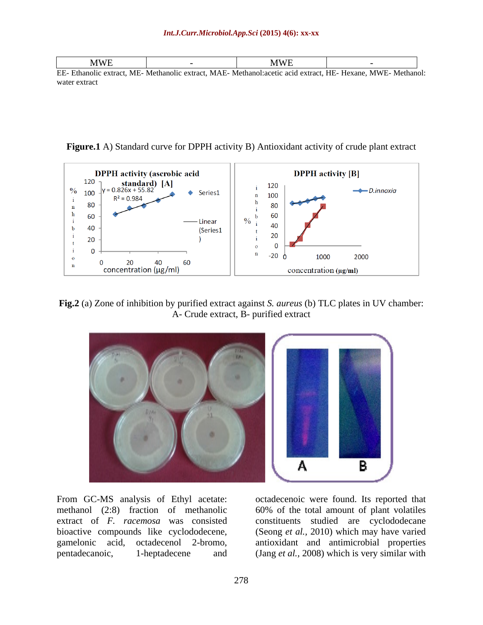| <b>MWE</b>                          | <b>MWE</b>                                     |                                            |
|-------------------------------------|------------------------------------------------|--------------------------------------------|
| EE- Ethanolic extract, ME- Methanol | c extract. MAE- Methanol: acetic acid extract. | <sup>-t</sup> , HE- Hexane, MWE- Methanol. |

water extract the state of the state of the state of the state of the state of the state of the state of the state of the state of the state of the state of the state of the state of the state of the state of the state of

**Figure.1** A) Standard curve for DPPH activity B) Antioxidant activity of crude plant extract



**Fig.2** (a) Zone of inhibition by purified extract against *S. aureus* (b) TLC plates in UV chamber: A- Crude extract, B- purified extract



From GC-MS analysis of Ethyl acetate: octadecenoic were found. Its reported that methanol (2:8) fraction of methanolic 60% of the total amount of plant volatiles extract of *F. racemosa* was consisted constituents studied are cyclododecane bioactive compounds like cyclododecene, gamelonic acid, octadecenol 2-bromo, antioxidant and antimicrobial properties pentadecanoic, 1-heptadecene and (Jang *et al.,* 2008) which is very similar with

(Seong *et al.,* 2010) which may have varied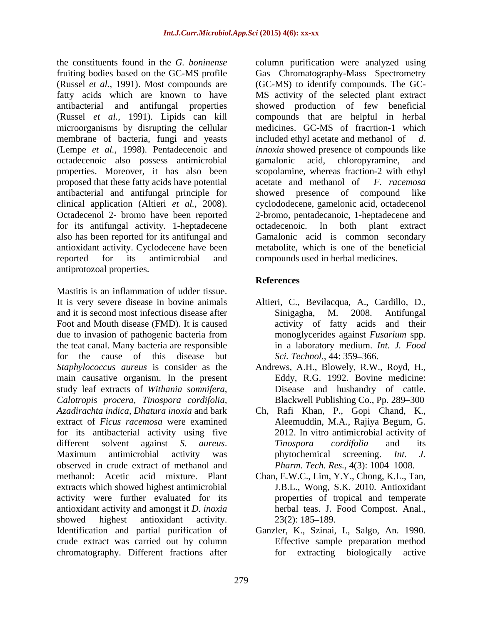fruiting bodies based on the GC-MS profile membrane of bacteria, fungi and yeasts included ethyl acetate and methanol of d. octadecenoic also possess antimicrobial properties. Moreover, it has also been proposed that these fatty acids have potential acetate and methanol of F. racemosa antibacterial and antifungal principle for for its antifungal activity. 1-heptadecene octadecenoic. In both plant extract antioxidant activity. Cyclodecene have been reported for its antimicrobial and compounds used in herbal medicines. antiprotozoal properties.

Mastitis is an inflammation of udder tissue. It is very severe disease in bovine animals Altieri, C., Bevilacqua, A., Cardillo, D., and it is second most infectious disease after Sinigagha, M. 2008. Antifungal and it is second most infectious disease after Sinigagha, M. 2008. Antifungal Foot and Mouth disease (FMD). It is caused due to invasion of pathogenic bacteria from the teat canal. Many bacteria are responsible for the cause of this disease but Sci. Technol., 44: 359–366. *Staphylococcus aureus* is consider as the Andrews, A.H., Blowely, R.W., Royd, H., main causative organism. In the present study leaf extracts of *Withania somnifera, Calotropis procera, Tinospora cordifolia, Azadirachta indica, Dhatura inoxia* and bark Ch, Rafi Khan, P., Gopi Chand, K., extract of *Ficus racemosa* were examined for its antibacterial activity using five different solvent against *S. aureus. Tinospora cordifolia* and its<br>Maximum antimicrobial activity was phytochemical screening. *Int. J.* observed in crude extract of methanol and methanol: Acetic acid mixture. Plant Chan, E.W.C., Lim, Y.Y., Chong, K.L., Tan, extracts which showed highest antimicrobial activity were further evaluated for its properties of tropical and temperate antioxidant activity and amongst it *D. inoxia* herbal teas. J. Food Compost. Anal., antioxidant activity and amongst it *D. inoxia* showed highest antioxidant activity. 23(2): 185–189. Identification and partial purification of Ganzler, K., Szinai, I., Salgo, An. 1990. crude extract was carried out by column<br>
chromatography. Different fractions after<br>
for extracting biologically chromatography. Different fractions after

the constituents found in the *G. boninense* column purification were analyzed using (Russel *et al.,* 1991). Most compounds are (GC-MS) to identify compounds. The GC fatty acids which are known to have MS activity of the selected plant extract antibacterial and antifungal properties showed production of few beneficial (Russel *et al.,* 1991). Lipids can kill compounds that are helpful in herbal microorganisms by disrupting the cellular medicines. GC-MS of fracrtion-1 which (Lempe *et al.,* 1998). Pentadecenoic and *innoxia* showed presence of compounds like clinical application (Altieri *et al.,* 2008). cyclododecene, gamelonic acid, octadecenol Octadecenol 2- bromo have been reported 2-bromo, pentadecanoic, 1-heptadecene and also has been reported for its antifungal and Gamalonic acid is common secondary Gas Chromatography-Mass Spectrometry included ethyl acetate and methanol of gamalonic acid, chloropyramine, and scopolamine, whereas fraction-2 with ethyl acetate and methanol of *F. racemosa* showed presence of compound octadecenoic. In both plant extract metabolite, which is one of the beneficial

# **References**

- activity of fatty acids and their monoglycerides against *Fusarium* spp. in a laboratory medium. *Int. J. Food Sci. Technol.,* 44: 359 366.
- Eddy, R.G. 1992. Bovine medicine: Disease and husbandry of cattle. Blackwell Publishing Co., Pp. 289–300
- Aleemuddin, M.A., Rajiya Begum, G. 2012. In vitro antimicrobial activity of *Tinospora cordifolia* and its phytochemical screening. *Int. J. Pharm. Tech. Res., 4(3): 1004-1008.*
- J.B.L., Wong, S.K. 2010. Antioxidant properties of tropical and temperate herbal teas. J. Food Compost. Anal.,<br>23(2): 185–189.
- Effective sample preparation method for extracting biologically active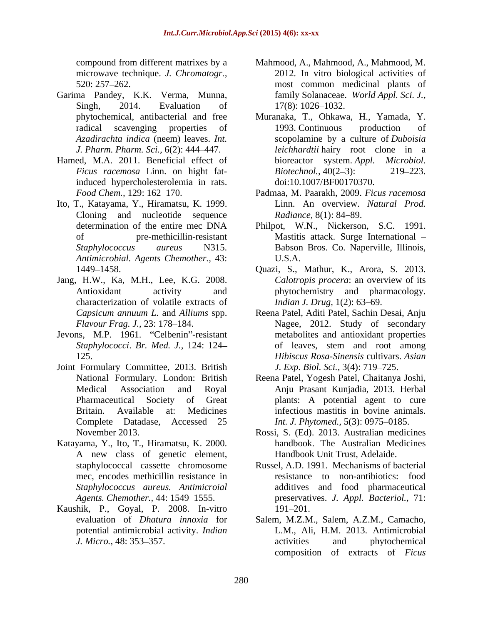microwave technique. *J. Chromatogr.,*

- Garima Pandey, K.K. Verma, Munna,
- Hamed, M.A. 2011. Beneficial effect of bioreactor system. Appl. Microbiol. induced hypercholesterolemia in rats.
- Ito, T., Katayama, Y., Hiramatsu, K. 1999. Cloning and nucleotide sequence Radiance, 8(1): 84–89. *Antimicrobial. Agents Chemother.,* 43:
- Jang, H.W., Ka, M.H., Lee, K.G. 2008. characterization of volatile extracts of
- Jevons, M.P. 1961. "Celbenin"-resistant
- Joint Formulary Committee, 2013. British Complete Datadase, Accessed 25
- Katayama, Y., Ito, T., Hiramatsu, K. 2000. A new class of genetic element, A new class of genetic element, Handbook Unit Trust, Adelaide.<br>
Staphylococcal cassette chromosome Russel, A.D. 1991. Mechanisms of bacterial mec, encodes methicillin resistance in
- Kaushik, P., Goyal, P. 2008. In-vitro potential antimicrobial activity. *Indian*
- compound from different matrixes by a Mahmood, A., Mahmood, A., Mahmood, M. 520: 257 262. most common medicinal plants of Singh, 2014. Evaluation of 17(8): 1026–1032. 2012. In vitro biological activities of family Solanaceae. *World Appl. Sci. J.,*  $17(8)$ : 1026-1032.
- phytochemical, antibacterial and free Muranaka, T., Ohkawa, H., Yamada, Y. radical scavenging properties of 1993. Continuous production of *Azadirachta indica* (neem) leaves. *Int.*  scopolamine by a culture of *Duboisia J. Pharm. Pharm. Sci.,* 6(2): 444 447. *leichhardtii* hairy root clone in a *Ficus racemosa* Linn. on hight fat-<br>*Biotechnol.,* 40(2–3): 219–223. 1993. Continuous production of bioreactor system. *Appl. Biotechnol.,* 40(2–3): 219–223. doi:10.1007/BF00170370.
- *Food Chem.,* 129: 162 170. Padmaa, M. Paarakh, 2009. *Ficus racemosa* Linn. An overview. *Natural Prod. Radiance*, 8(1): 84–89.
- determination of the entire mec DNA Philpot, W.N., Nickerson, S.C. 1991. of pre-methicillin-resistant Mastitis attack. Surge International *Staphylococcus aureus* N315. Babson Bros. Co. Naperville, Illinois, U.S.A.
- 1449 1458. Quazi, S., Mathur, K., Arora, S. 2013. Antioxidant activity and phytochemistry and pharmacology. *Calotropis procera*: an overview of its *Indian J. Drug,* 1(2): 63–69.
- *Capsicum annuum L.* and *Alliums* spp. Reena Patel, Aditi Patel, Sachin Desai, Anju *Flavour Frag. J.,* 23: 178 184. Nagee, 2012. Study of secondary *Staphylococci*. *Br. Med. J.,* 124: 124 125. *Hibiscus Rosa-Sinensis* cultivars. *Asian*  metabolites and antioxidant properties of leaves, stem and root among *J. Exp. Biol. Sci.,* 3(4): 719 725.
- National Formulary. London: British Reena Patel, Yogesh Patel, Chaitanya Joshi, Medical Association and Royal Anju Prasant Kunjadia, 2013. Herbal Pharmaceutical Society of Great plants: A potential agent to cure Britain. Available at: Medicines infectious mastitis in bovine animals. *Int. J. Phytomed.,* 5(3): 0975–0185.
- November 2013. Rossi, S. (Ed). 2013. Australian medicines handbook. The Australian Medicines
- *Staphylococcus aureus. Antimicroial*  additives and food pharmaceutical *Agents. Chemother.,* 44: 1549 1555. preservatives. *J. Appl. Bacteriol.,* 71: resistance to non-antibiotics: food 191–201.
- evaluation of *Dhatura innoxia* for Salem, M.Z.M., Salem, A.Z.M., Camacho, *J. Micro.*, 48: 353–357. **a** activities and phytochemical L.M., Ali, H.M. 2013. Antimicrobial activities and phytochemical composition of extracts of *Ficus*